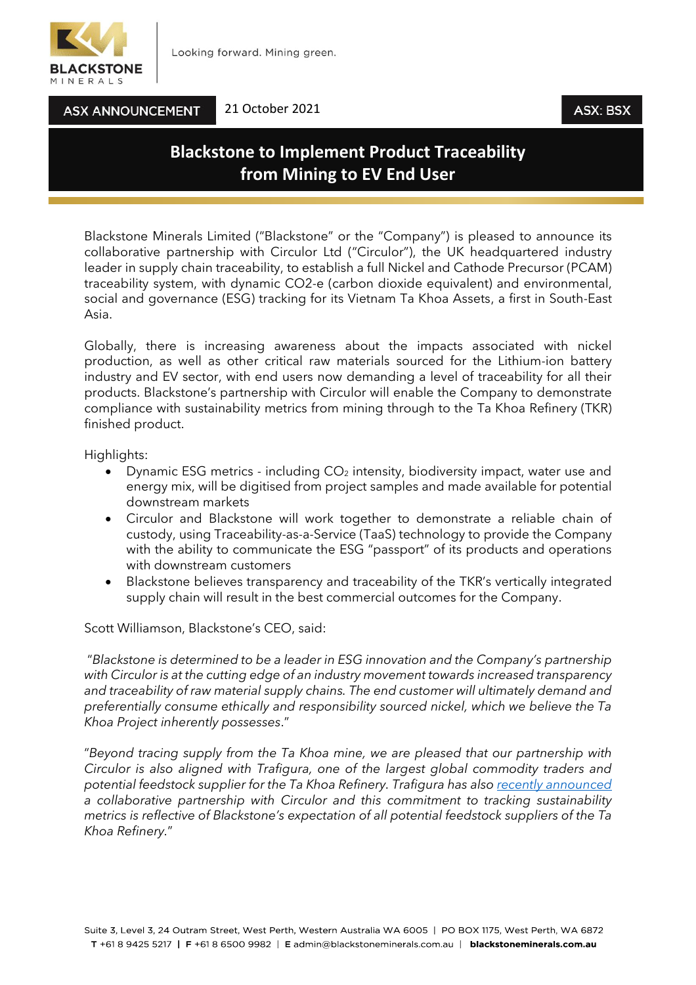

**ASX ANNOUNCEMENT** 

#### 21 October 2021

## ASX: BSX

# **Blackstone to Implement Product Traceability from Mining to EV End User**

Blackstone Minerals Limited ("Blackstone" or the "Company") is pleased to announce its collaborative partnership with Circulor Ltd ("Circulor"), the UK headquartered industry leader in supply chain traceability, to establish a full Nickel and Cathode Precursor (PCAM) traceability system, with dynamic CO2-e (carbon dioxide equivalent) and environmental, social and governance (ESG) tracking for its Vietnam Ta Khoa Assets, a first in South-East Asia.

Globally, there is increasing awareness about the impacts associated with nickel production, as well as other critical raw materials sourced for the Lithium-ion battery industry and EV sector, with end users now demanding a level of traceability for all their products. Blackstone's partnership with Circulor will enable the Company to demonstrate compliance with sustainability metrics from mining through to the Ta Khoa Refinery (TKR) finished product.

Highlights:

- Dynamic ESG metrics including  $CO<sub>2</sub>$  intensity, biodiversity impact, water use and energy mix, will be digitised from project samples and made available for potential downstream markets
- Circulor and Blackstone will work together to demonstrate a reliable chain of custody, using Traceability-as-a-Service (TaaS) technology to provide the Company with the ability to communicate the ESG "passport" of its products and operations with downstream customers
- Blackstone believes transparency and traceability of the TKR's vertically integrated supply chain will result in the best commercial outcomes for the Company.

Scott Williamson, Blackstone's CEO, said:

"*Blackstone is determined to be a leader in ESG innovation and the Company's partnership with Circulor is at the cutting edge of an industry movement towards increased transparency and traceability of raw material supply chains. The end customer will ultimately demand and preferentially consume ethically and responsibility sourced nickel, which we believe the Ta Khoa Project inherently possesses*."

"*Beyond tracing supply from the Ta Khoa mine, we are pleased that our partnership with Circulor is also aligned with Trafigura, one of the largest global commodity traders and potential feedstock supplier for the Ta Khoa Refinery. Trafigura has also [recently announced](https://www.circulor.com/trafigura-press-release) a collaborative partnership with Circulor and this commitment to tracking sustainability metrics is reflective of Blackstone's expectation of all potential feedstock suppliers of the Ta Khoa Refinery.*"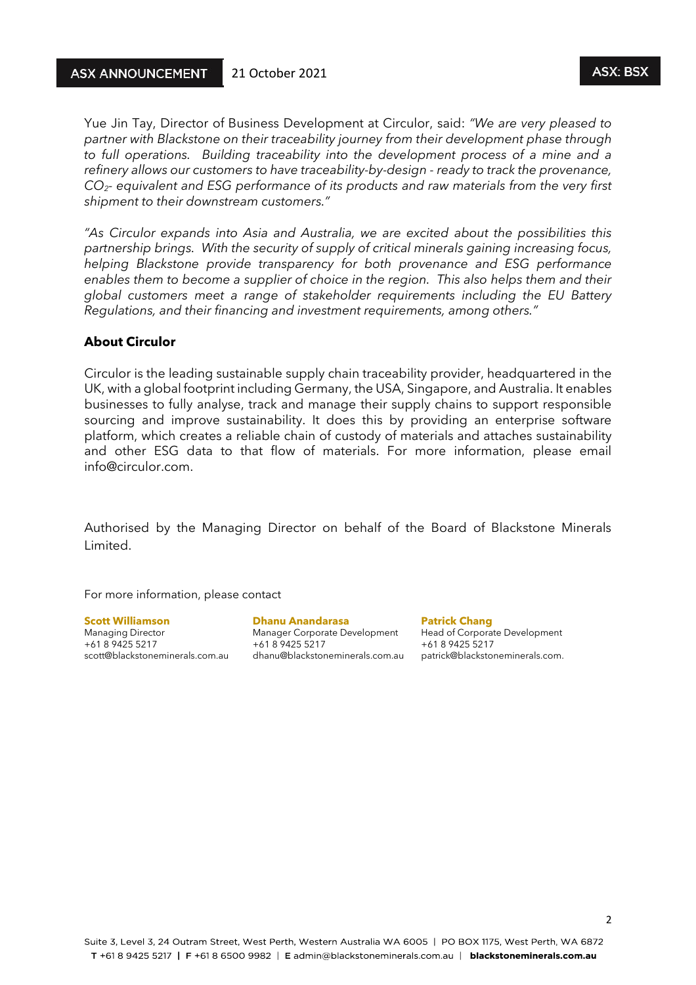#### **ASX ANNOUNCEMENT** 21 October 2021

Yue Jin Tay, Director of Business Development at Circulor, said: *"We are very pleased to partner with Blackstone on their traceability journey from their development phase through to full operations. Building traceability into the development process of a mine and a refinery allows our customers to have traceability-by-design - ready to track the provenance, CO2- equivalent and ESG performance of its products and raw materials from the very first shipment to their downstream customers."*

*"As Circulor expands into Asia and Australia, we are excited about the possibilities this partnership brings. With the security of supply of critical minerals gaining increasing focus, helping Blackstone provide transparency for both provenance and ESG performance enables them to become a supplier of choice in the region. This also helps them and their global customers meet a range of stakeholder requirements including the EU Battery Regulations, and their financing and investment requirements, among others."*

#### **About Circulor**

Circulor is the leading sustainable supply chain traceability provider, headquartered in the UK, with a global footprint including Germany, the USA, Singapore, and Australia. It enables businesses to fully analyse, track and manage their supply chains to support responsible sourcing and improve sustainability. It does this by providing an enterprise software platform, which creates a reliable chain of custody of materials and attaches sustainability and other ESG data to that flow of materials. For more information, please email info@circulor.com.

Authorised by the Managing Director on behalf of the Board of Blackstone Minerals Limited.

For more information, please contact

**Scott Williamson Dhanu Anandarasa Patrick Chang** Managing Director Manager Corporate Development Head of Corporate Development scott@blackstoneminerals.com.au dhanu@blackstoneminerals.com.au patrick@blackstoneminerals.com.

+61 8 9425 5217 +61 8 9425 5217 +61 8 9425 5217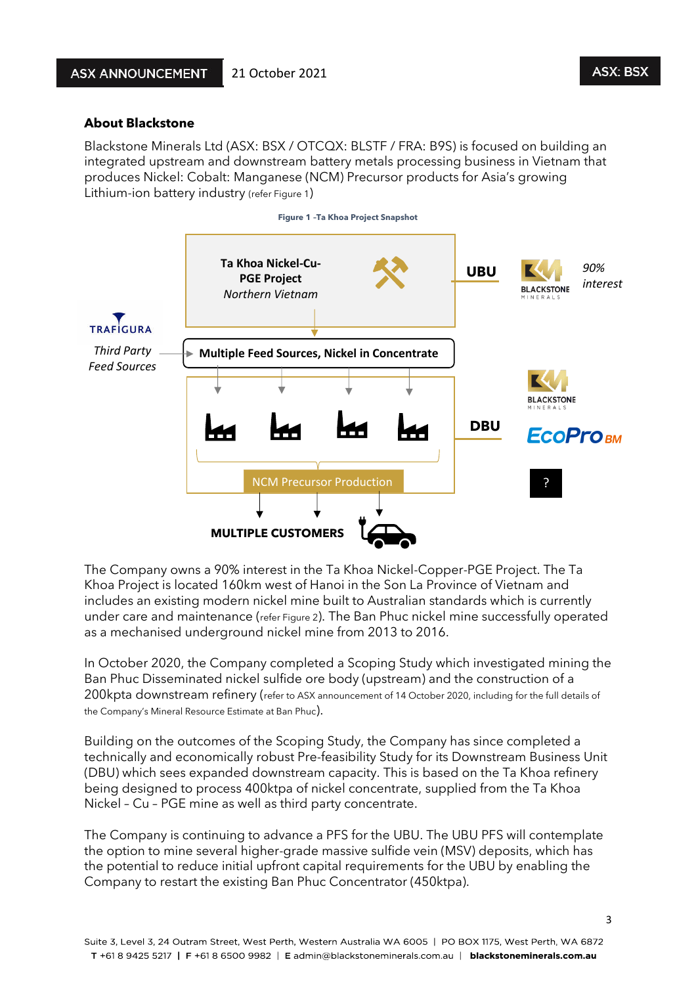### **About Blackstone**

Blackstone Minerals Ltd (ASX: BSX / OTCQX: BLSTF / FRA: B9S) is focused on building an integrated upstream and downstream battery metals processing business in Vietnam that produces Nickel: Cobalt: Manganese (NCM) Precursor products for Asia's growing Lithium-ion battery industry (refer Figure 1)



The Company owns a 90% interest in the Ta Khoa Nickel-Copper-PGE Project. The Ta Khoa Project is located 160km west of Hanoi in the Son La Province of Vietnam and includes an existing modern nickel mine built to Australian standards which is currently under care and maintenance (refer Figure 2). The Ban Phuc nickel mine successfully operated as a mechanised underground nickel mine from 2013 to 2016.

In October 2020, the Company completed a Scoping Study which investigated mining the Ban Phuc Disseminated nickel sulfide ore body (upstream) and the construction of a 200kpta downstream refinery (refer to ASX announcement of 14 October 2020, including for the full details of the Company's Mineral Resource Estimate at Ban Phuc).

Building on the outcomes of the Scoping Study, the Company has since completed a technically and economically robust Pre-feasibility Study for its Downstream Business Unit (DBU) which sees expanded downstream capacity. This is based on the Ta Khoa refinery being designed to process 400ktpa of nickel concentrate, supplied from the Ta Khoa Nickel – Cu – PGE mine as well as third party concentrate.

The Company is continuing to advance a PFS for the UBU. The UBU PFS will contemplate the option to mine several higher-grade massive sulfide vein (MSV) deposits, which has the potential to reduce initial upfront capital requirements for the UBU by enabling the Company to restart the existing Ban Phuc Concentrator (450ktpa).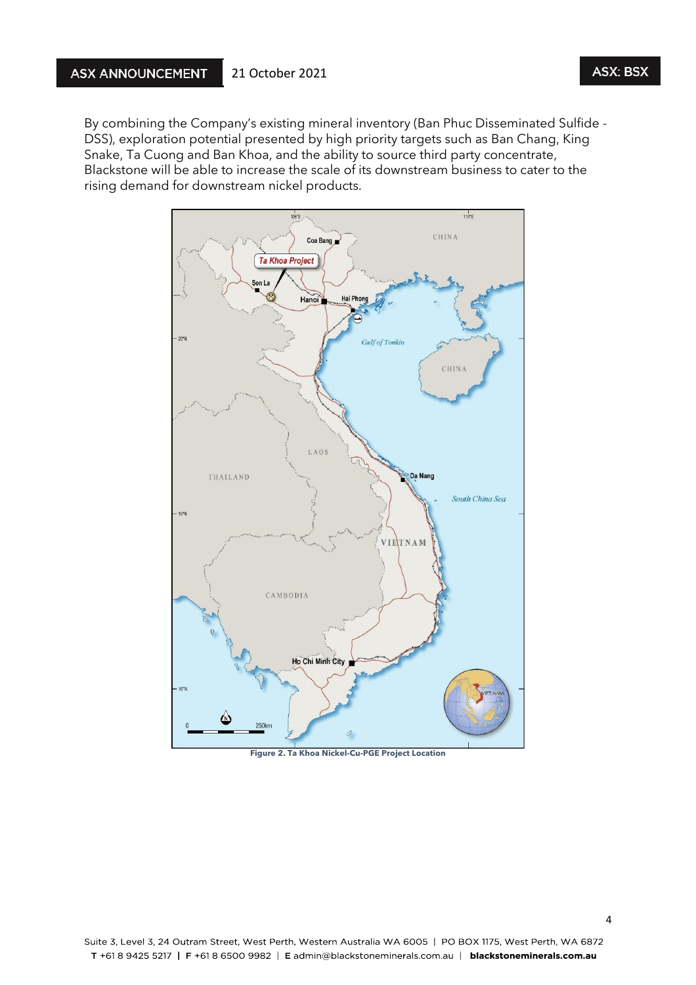By combining the Company's existing mineral inventory (Ban Phuc Disseminated Sulfide - DSS), exploration potential presented by high priority targets such as Ban Chang, King Snake, Ta Cuong and Ban Khoa, and the ability to source third party concentrate, Blackstone will be able to increase the scale of its downstream business to cater to the rising demand for downstream nickel products.



**Figure 2. Ta Khoa Nickel-Cu-PGE Project Location**

**ASX: BSX**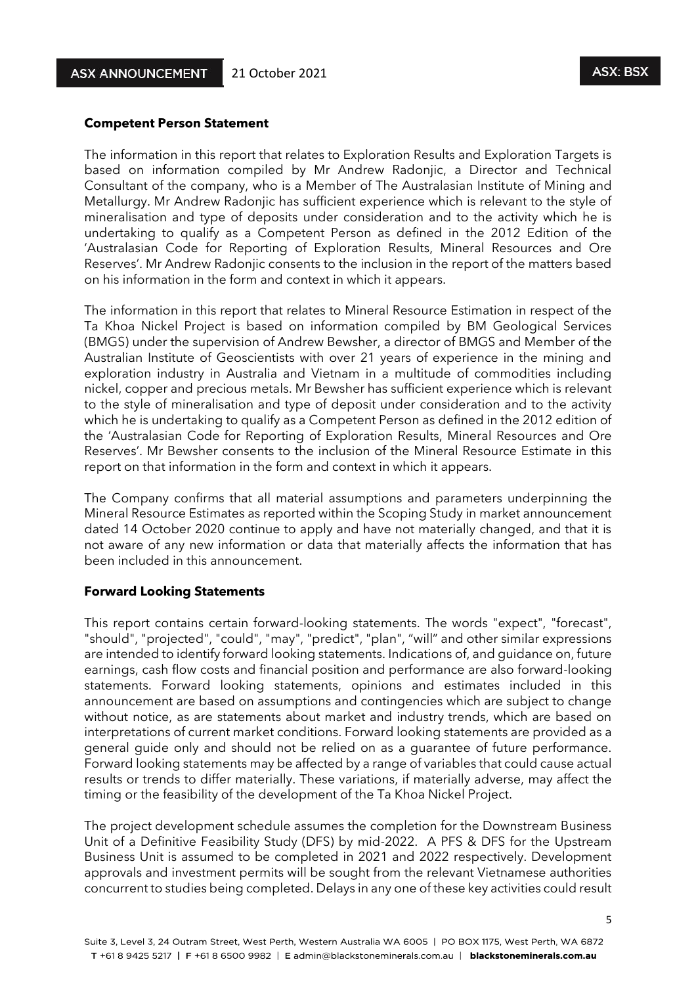#### **Competent Person Statement**

The information in this report that relates to Exploration Results and Exploration Targets is based on information compiled by Mr Andrew Radonjic, a Director and Technical Consultant of the company, who is a Member of The Australasian Institute of Mining and Metallurgy. Mr Andrew Radonjic has sufficient experience which is relevant to the style of mineralisation and type of deposits under consideration and to the activity which he is undertaking to qualify as a Competent Person as defined in the 2012 Edition of the 'Australasian Code for Reporting of Exploration Results, Mineral Resources and Ore Reserves'. Mr Andrew Radonjic consents to the inclusion in the report of the matters based on his information in the form and context in which it appears.

The information in this report that relates to Mineral Resource Estimation in respect of the Ta Khoa Nickel Project is based on information compiled by BM Geological Services (BMGS) under the supervision of Andrew Bewsher, a director of BMGS and Member of the Australian Institute of Geoscientists with over 21 years of experience in the mining and exploration industry in Australia and Vietnam in a multitude of commodities including nickel, copper and precious metals. Mr Bewsher has sufficient experience which is relevant to the style of mineralisation and type of deposit under consideration and to the activity which he is undertaking to qualify as a Competent Person as defined in the 2012 edition of the 'Australasian Code for Reporting of Exploration Results, Mineral Resources and Ore Reserves'. Mr Bewsher consents to the inclusion of the Mineral Resource Estimate in this report on that information in the form and context in which it appears.

The Company confirms that all material assumptions and parameters underpinning the Mineral Resource Estimates as reported within the Scoping Study in market announcement dated 14 October 2020 continue to apply and have not materially changed, and that it is not aware of any new information or data that materially affects the information that has been included in this announcement.

#### **Forward Looking Statements**

This report contains certain forward-looking statements. The words "expect", "forecast", "should", "projected", "could", "may", "predict", "plan", "will" and other similar expressions are intended to identify forward looking statements. Indications of, and guidance on, future earnings, cash flow costs and financial position and performance are also forward-looking statements. Forward looking statements, opinions and estimates included in this announcement are based on assumptions and contingencies which are subject to change without notice, as are statements about market and industry trends, which are based on interpretations of current market conditions. Forward looking statements are provided as a general guide only and should not be relied on as a guarantee of future performance. Forward looking statements may be affected by a range of variables that could cause actual results or trends to differ materially. These variations, if materially adverse, may affect the timing or the feasibility of the development of the Ta Khoa Nickel Project.

The project development schedule assumes the completion for the Downstream Business Unit of a Definitive Feasibility Study (DFS) by mid-2022. A PFS & DFS for the Upstream Business Unit is assumed to be completed in 2021 and 2022 respectively. Development approvals and investment permits will be sought from the relevant Vietnamese authorities concurrent to studies being completed. Delays in any one of these key activities could result